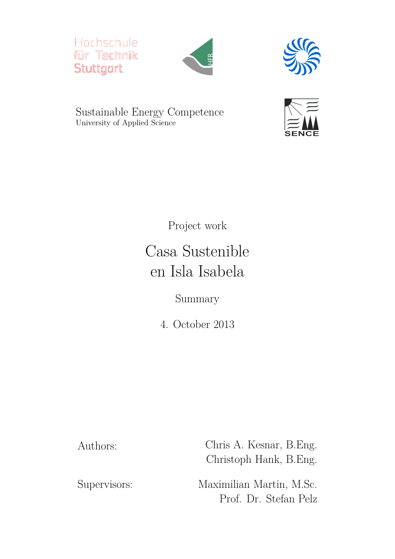





Sustainable Energy Competence University of Applied Science



Project work

## Casa Sustenible en Isla Isabela

Summary

4. October 2013

Authors: Chris A. Kesnar, B.Eng. Christoph Hank, B.Eng.

Supervisors: Maximilian Martin, M.Sc. Prof. Dr. Stefan Pelz